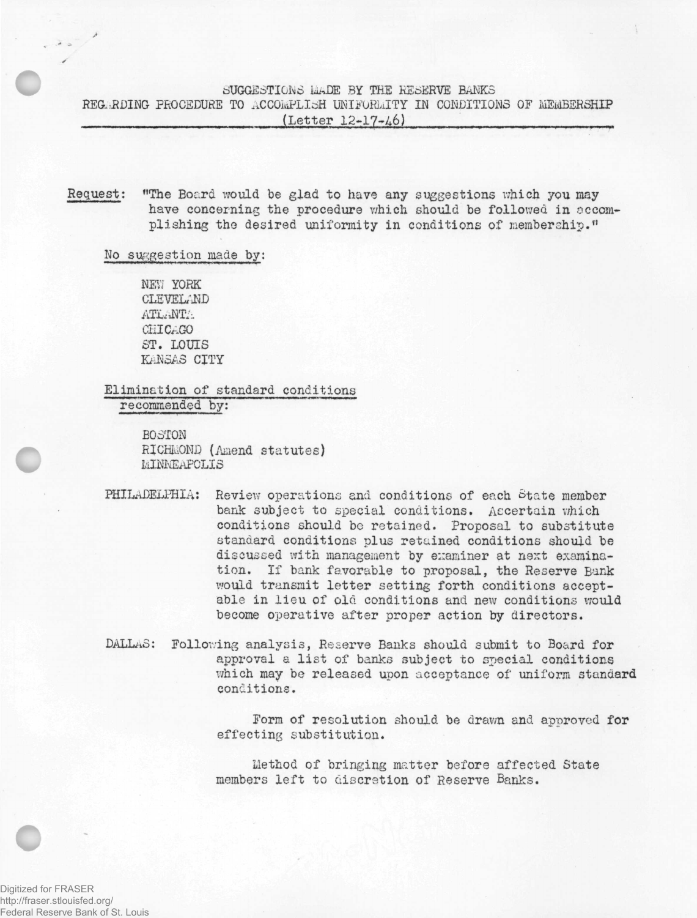## SUGGESTIONS MADE BY THE RESERVE BANKS

REGARDING PROCEDURE TO ACCOkPLIcaH **IKIFOHiilTY** IN **CONDITIONS** OF MEMBERSHIP (Letter 12-17-/16)

Request: "The Board would be glad to have any suggestions which you may have concerning the procedure which should be followed in accomplishing tho desired uniformity in conditions of **membership."**

Mo suggestion made by:

**NEVJ** YORK CLEVEL/ND ATLANTA CHICAGO ST. LOUIS **KANSAS** CITY

Elimination of standard conditions recommended by:

> BOSTON RICHMOND (Amend statutes) MINNEAPOLIS

PHILADELPHIA: Review operations and conditions of each State member bank subject to special conditions. Ascertain which conditions should be retained. Proposal to substitute standard conditions plus retained conditions should be discussed with **management** by examiner at next examination. If bank favorable to proposal, the Reserve Bank would transmit letter setting forth conditions acceptable in lieu of old conditions and new conditions would become operative after proper action by directors.

DALLAS: **Following** analysis, Reserve Banks should submit to Board for approval a list of banks subject **to special** conditions which may be released upon acceptance of uniform standard conditions.

> Form of resolution should be drawn and approved for effecting substitution.

Method of bringing matter before affected State members left to discretion of Reserve Banks.

Digitized for FRASER http://fraser.stlouisfed.org/ Federal Reserve Bank of St. Louis

**c**

**c**